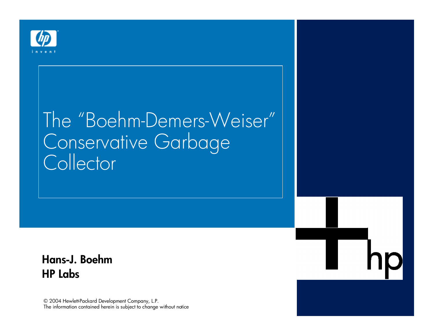

#### The "Boehm-Demers-Weiser" Conservative Garbage Collector

#### Hans-J. Boehm *HP Labs*

© 2004 Hewlett-Packard Development Company, L.P. The information contained herein is subject to change without notice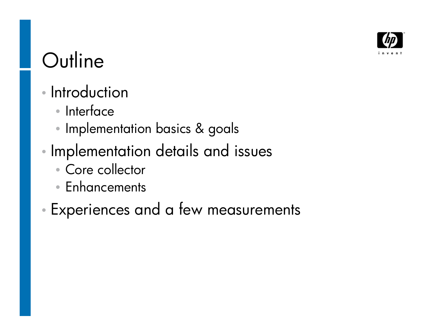

# **Outline**

- Introduction
	- Interface
	- Implementation basics & goals
- Implementation details and issues
	- Core collector
	- Enhancements
- Experiences and a few measurements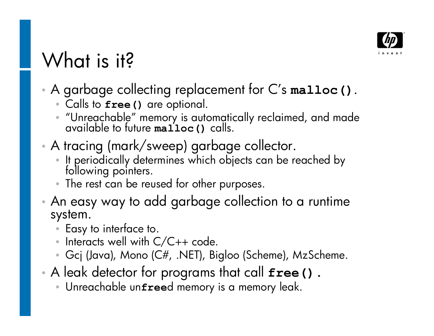

# What is it?

- A garbage collecting replacement for C's malloc().
	- Calls to **free()** are optional.
	- $\bullet$  "Unreachable" memory is automatically reclaimed, and made available to future **malloc()** calls.
- A tracing (mark/sweep) garbage collector.
	- It periodically determines which objects can be reached by following pointers.
	- The rest can be reused for other purposes.
- An easy way to add garbage collection to a runtime system.
	- Easy to interface to.
	- Interacts well with  $C/C++code$ .
	- Gcj (Java), Mono (C#, .NET), Bigloo (Scheme), MzScheme.
- A leak detector for programs that call **free().**
	- Unreachable un**free**d memory is a memory leak.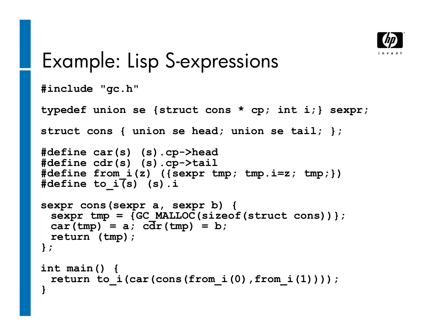

#### Example: Lisp S-expressions

```
#include "gc.h"
```
**typedef union se {struct cons \* cp; int i;} sexpr;**

**struct cons { union se head; union se tail; };**

```
#define car(s) (s).cp->head
#define cdr(s) (s).cp->tail
#define from_i(z) ({sexpr tmp; tmp.i=z; tmp;})
#define to_i(s) (s).i
```

```
sexpr cons(sexpr a, sexpr b) {
 sexpr tmp = {GC_MALLOC(sizeof(struct cons))};
 car(tmp) = a; c\overline{dr}(tmp) = b;return (tmp);
};
```

```
int main() {
 return to_i(car(cons(from_i(0),from_i(1))));
}
```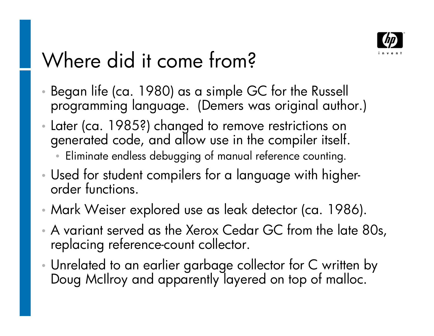

# Where did it come from?

- Began life (ca. 1980) as a simple GC for the Russell programming language. (Demers was original author.)
- Later (ca. 1985?) changed to remove restrictions on generated code, and allow use in the compiler itself.
	- Eliminate endless debugging of manual reference counting.
- Used for student compilers for a language with higherorder functions.
- Mark Weiser explored use as leak detector (ca. 1986).
- A variant served as the Xerox Cedar GC from the late 80s, replacing reference-count collector.
- Unrelated to an earlier garbage collector for C written by Doug McIlroy and apparently layered on top of malloc.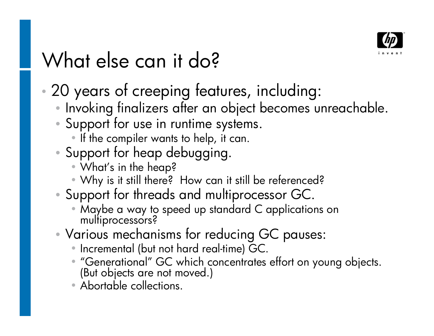

# What else can it do?

- 20 years of creeping features, including:
	- Invoking finalizers after an object becomes unreachable.
	- Support for use in runtime systems.
		- If the compiler wants to help, it can.
	- Support for heap debugging.
		- What's in the heap?
		- Why is it still there? How can it still be referenced?
	- Support for threads and multiprocessor GC.
		- Maybe a way to speed up standard C applications on multiprocessors?
	- Various mechanisms for reducing GC pauses:
		- Incremental (but not hard real-time) GC.
		- "Generational" GC which concentrates effort on young objects. (But objects are not moved.)
		- Abortable collections.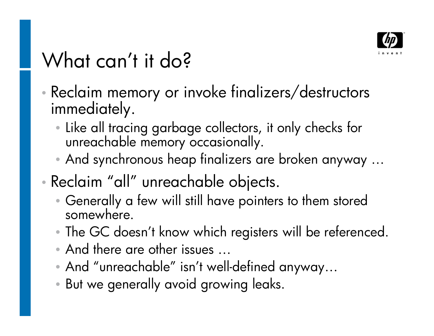

# What can't it do?

- Reclaim memory or invoke finalizers/destructors immediately.
	- Like all tracing garbage collectors, it only checks for unreachable memory occasionally.
	- And synchronous heap finalizers are broken anyway ...
- Reclaim "all" unreachable objects.
	- Generally a few will still have pointers to them stored somewhere.
	- The GC doesn't know which registers will be referenced.
	- And there are other issues ...
	- And "unreachable" isn't well-defined anyway...
	- But we generally avoid growing leaks.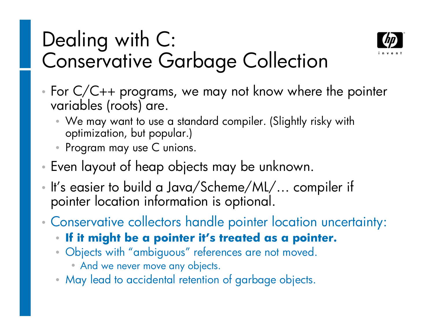## Dealing with C: Conservative Garbage Collection



- For C/C++ programs, we may not know where the pointer variables (roots) are.
	- We may want to use a standard compiler. (Slightly risky with optimization, but popular.)
	- Program may use C unions.
- Even layout of heap objects may be unknown.
- It's easier to build a Java/Scheme/ML/... compiler if pointer location information is optional.
- Conservative collectors handle pointer location uncertainty:
	- If it might be a pointer it's treated as a pointer.
	- Objects with "ambiguous" references are not moved.
		- And we never move any objects.
	- May lead to accidental retention of garbage objects.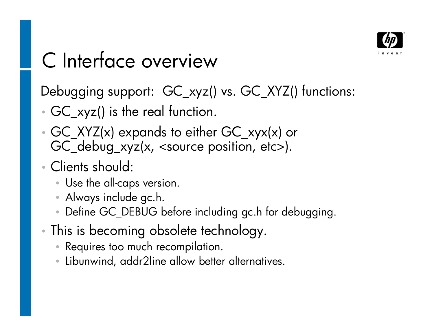

# C Interface overview

Debugging support: GC\_xyz() vs. GC\_XYZ() functions:

- GC\_xyz() is the real function.
- GC\_XYZ(x) expands to either GC\_xyx(x) or GC\_debug\_xyz(x, <source position, etc>).
- Clients should:
	- Use the all-caps version.
	- Always include gc.h.
	- Define GC\_DEBUG before including gc.h for debugging.
- This is becoming obsolete technology.
	- Requires too much recompilation.
	- Libunwind, addr2line allow better alternatives.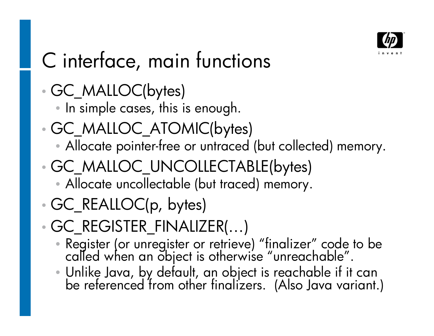

# C interface, main functions

GC\_MALLOC(bytes)

• In simple cases, this is enough.

- GC\_MALLOC\_ATOMIC(bytes)
	- Allocate pointer-free or untraced (but collected) memory.
- GC\_MALLOC\_UNCOLLECTABLE(bytes)
	- Allocate uncollectable (but traced) memory.
- GC\_REALLOC(p, bytes)

 $\cdot$  GC\_REGISTER\_FINALIZER( $\ldots$ )

- Register (or unregister or retrieve) "finalizer" code to be called when an object is otherwise "unreachable".
- •Unlike Java, by default, an object is reachable if it can be referenced from other finalizers. (Also Java variant.)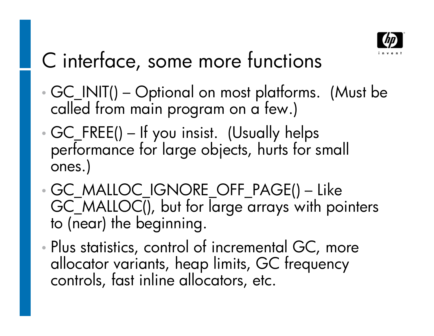

# C interface, some more functions

- GC\_INIT() Optional on most platforms. (Must be called from main program on a few.)
- GC\_FREE() If you insist. (Usually helps performance for large objects, hurts for small ones.)
- GC MALLOC IGNORE\_OFF\_PAGE() Like GC MALLOC(), but for large arrays with pointers to (near) the beginning.
- Plus statistics, control of incremental GC, more allocator variants, heap limits, GC frequency controls, fast inline allocators, etc.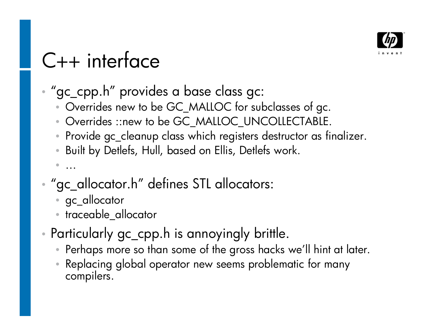

# $C++$  interface

- "gc\_cpp.h" provides a base class gc:
	- Overrides new to be GC\_MALLOC for subclasses of gc.
	- Overrides ::new to be GC\_MALLOC\_UNCOLLECTABLE.
	- Provide gc\_cleanup class which registers destructor as finalizer.
	- Built by Detlefs, Hull, based on Ellis, Detlefs work.
	- ...
- "gc\_allocator.h" defines STL allocators:
	- gc\_allocator
	- traceable\_allocator
- Particularly gc\_cpp.h is annoyingly brittle.
	- Perhaps more so than some of the gross hacks we'll hint at later.
	- Replacing global operator new seems problematic for many compilers.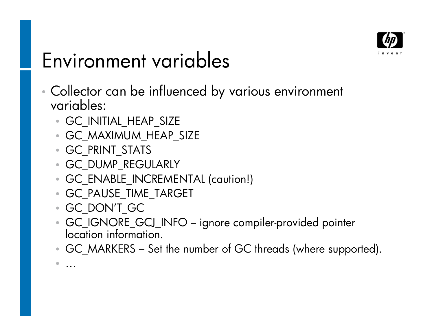

#### Environment variables

- Collector can be influenced by various environment variables:
	- GC INITIAL HEAP SIZE
	- GC MAXIMUM HEAP SIZE
	- GC\_PRINT\_STATS
	- GC\_DUMP\_REGULARLY
	- GC\_ENABLE\_INCREMENTAL (caution!)
	- GC\_PAUSE\_TIME\_TARGET
	- GC\_DONT\_GC

• ...

- GC IGNORE\_GCJ\_INFO ignore compiler-provided pointer location information.
- GC\_MARKERS Set the number of GC threads (where supported).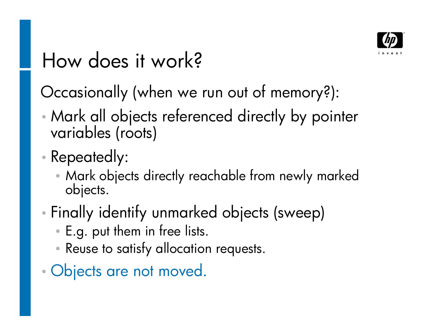

#### How does it work?

Occasionally (when we run out of memory?):

- Mark all objects referenced directly by pointer variables (roots)
- Repeatedly:
	- Mark objects directly reachable from newly marked objects.
- Finally identify unmarked objects (sweep)
	- E.g. put them in free lists.
	- Reuse to satisfy allocation requests.
- Objects are not moved.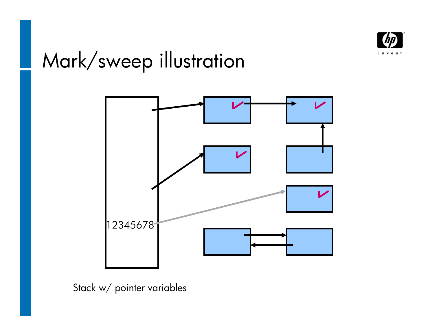

# Mark/sweep illustration



Stack w/ pointer variables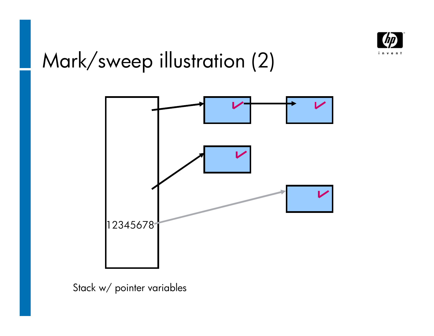

# Mark/sweep illustration (2)



Stack w/ pointer variables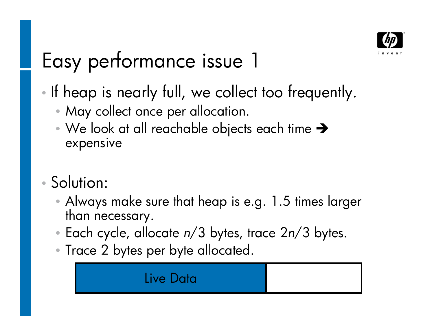

# Easy performance issue 1

- If heap is nearly full, we collect too frequently.
	- May collect once per allocation.
	- We look at all reachable objects each time  $\rightarrow$ expensive
- Solution:
	- Always make sure that heap is e.g. 1.5 times larger than necessary.
	- Each cycle, allocate *n*/3 bytes, trace 2*n*/3 bytes.
	- Trace 2 bytes per byte allocated.

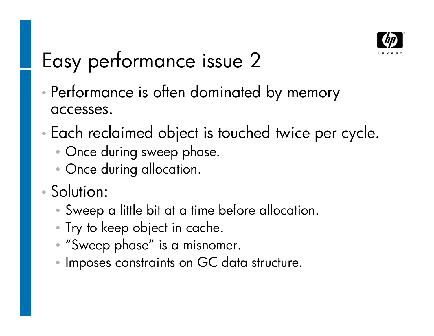

# Easy performance issue 2

- Performance is often dominated by memory accesses.
- Each reclaimed object is touched twice per cycle.
	- Once during sweep phase.
	- Once during allocation.
- Solution:
	- Sweep a little bit at a time before allocation.
	- Try to keep object in cache.
	- "Sweep phase" is a misnomer.
	- Imposes constraints on GC data structure.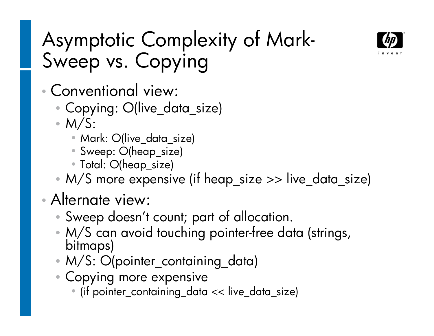

# Asymptotic Complexity of Mark-Sweep vs. Copying

- Conventional view:
	- Copying: O(live\_data\_size)
	- $\bullet$  M/S:
		- Mark: O(live\_data\_size)
		- Sweep: O(heap\_size)
		- Total: O(heap\_size)
	- M/S more expensive (if heap\_size >> live\_data\_size)

#### Alternate view:

- Sweep doesn't count; part of allocation.
- M/S can avoid touching pointer-free data (strings, bitmaps)
- M/S: O(pointer\_containing\_data)
- Copying more expensive
	- (if pointer\_containing\_data << live\_data\_size)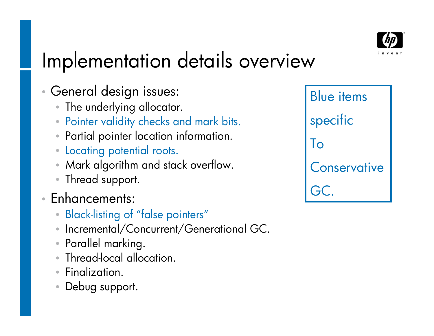

# Implementation details overview

- General design issues:
	- The underlying allocator.
	- Pointer validity checks and mark bits.
	- Partial pointer location information.
	- Locating potential roots.
	- Mark algorithm and stack overflow.
	- Thread support.
- Enhancements:
	- Black-listing of "false pointers"
	- Incremental/Concurrent/Generational GC.
	- Parallel marking.
	- Thread-local allocation.
	- Finalization.
	- Debug support.

Blue items specific To **Conservative** GC.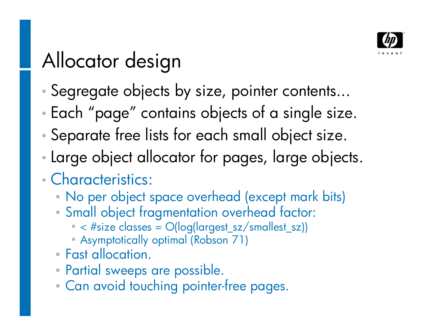

# Allocator design

- Segregate objects by size, pointer contents...
- Each "page" contains objects of a single size.
- Separate free lists for each small object size.
- Large object allocator for pages, large objects.
- Characteristics:
	- No per object space overhead (except mark bits)
	- Small object fragmentation overhead factor:
		- $\bullet$  < #size classes =  $O(log(largest_sz/smallest_sz))$
		- Asymptotically optimal (Robson 71)
	- Fast allocation.
	- Partial sweeps are possible.
	- Can avoid touching pointer-free pages.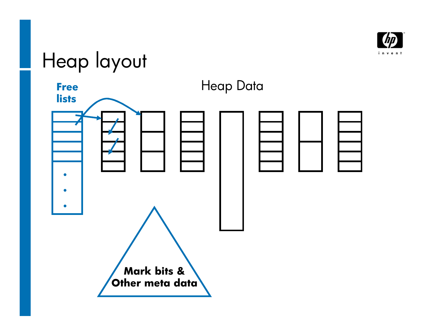

# Heap layout

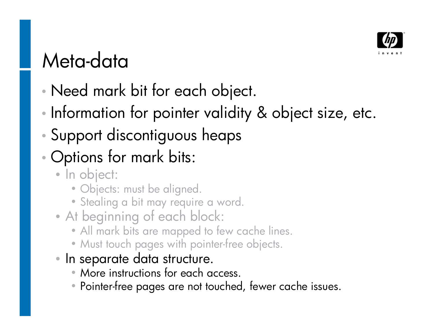

## Meta-data

- Need mark bit for each object.
- Information for pointer validity & object size, etc.
- Support discontiguous heaps
- Options for mark bits:
	- In object:
		- Objects: must be aligned.
		- Stealing a bit may require a word.
	- At beginning of each block:
		- All mark bits are mapped to few cache lines.
		- Must touch pages with pointer-free objects.
	- In separate data structure.
		- More instructions for each access.
		- Pointer-free pages are not touched, fewer cache issues.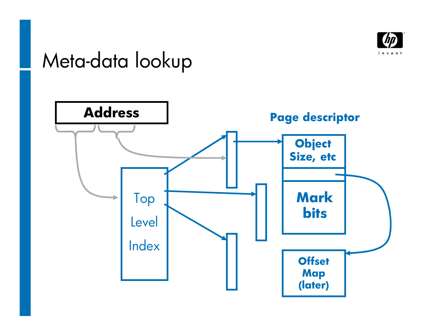

#### Meta-data lookup

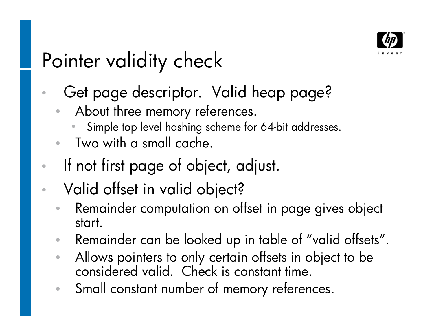

# Pointer validity check

- Get page descriptor. Valid heap page?
	- About three memory references.
		- Simple top level hashing scheme for 64-bit addresses.
	- Two with a small cache.
- If not first page of object, adjust.
- Valid offset in valid object?
	- Remainder computation on offset in page gives object start.
	- Remainder can be looked up in table of "valid offsets".
	- Allows pointers to only certain offsets in object to be considered valid. Check is constant time.
	- Small constant number of memory references.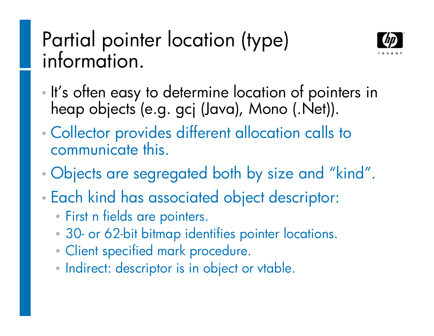#### Partial pointer location (type) information.



- It's often easy to determine location of pointers in heap objects (e.g. gcj (Java), Mono (.Net)).
- Collector provides different allocation calls to communicate this.
- Objects are segregated both by size and "kind".
- Each kind has associated object descriptor:
	- First n fields are pointers.
	- 30- or 62-bit bitmap identifies pointer locations.
	- Client specified mark procedure.
	- Indirect: descriptor is in object or vtable.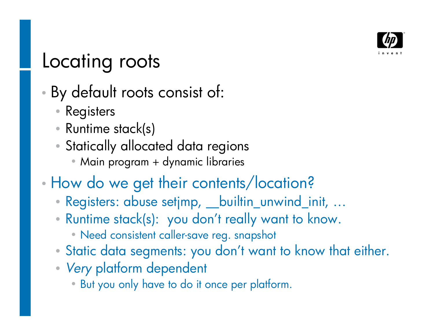

#### Locating roots

- By default roots consist of:
	- Registers
	- Runtime stack(s)
	- Statically allocated data regions
		- Main program + dynamic libraries
- How do we get their contents/location?
	- Registers: abuse setjmp, \_\_builtin\_unwind\_init, ...
	- Runtime stack(s): you don't really want to know.
		- Need consistent caller-save reg. snapshot
	- Static data segments: you don't want to know that either.
	- *Very* platform dependent
		- But you only have to do it once per platform.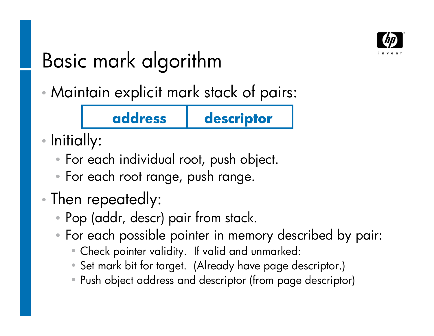

# Basic mark algorithm

Maintain explicit mark stack of pairs:

#### **address descriptor**

- Initially:
	- For each individual root, push object.
	- For each root range, push range.
- Then repeatedly:
	- Pop (addr, descr) pair from stack.
	- For each possible pointer in memory described by pair:
		- Check pointer validity. If valid and unmarked:
		- Set mark bit for target. (Already have page descriptor.)
		- Push object address and descriptor (from page descriptor)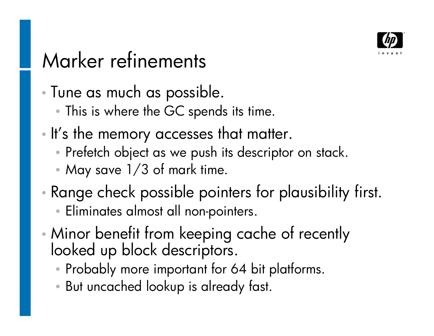

# Marker refinements

Tune as much as possible.

- This is where the GC spends its time.
- . It's the memory accesses that matter.
	- Prefetch object as we push its descriptor on stack.
	- May save 1/3 of mark time.
- Range check possible pointers for plausibility first. • Eliminates almost all non-pointers.
- Minor benefit from keeping cache of recently looked up block descriptors.
	- Probably more important for 64 bit platforms.
	- But uncached lookup is already fast.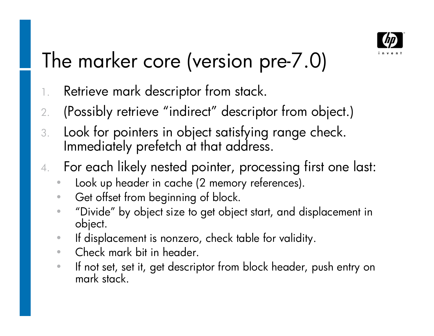

# The marker core (version pre-7.0)

- 1. Retrieve mark descriptor from stack.
- 2. (Possibly retrieve "indirect" descriptor from object.)
- 3. Look for pointers in object satisfying range check. Immediately prefetch at that address.
- 4. For each likely nested pointer, processing first one last:
	- **Look up header in cache (2 memory references).**
	- Get offset from beginning of block.
	- "Divide" by object size to get object start, and displacement in object.
	- If displacement is nonzero, check table for validity.
	- Check mark bit in header.
	- If not set, set it, get descriptor from block header, push entry on mark stack.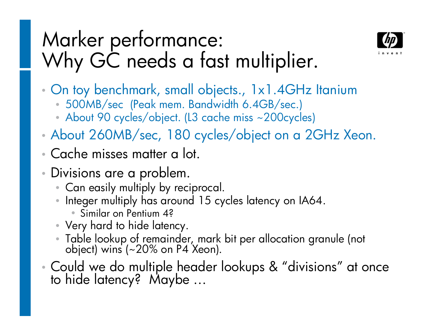## Marker performance: Why GC needs a fast multiplier.



- On toy benchmark, small objects., 1x1.4GHz Itanium
	- 500MB/sec (Peak mem. Bandwidth 6.4GB/sec.)
	- About 90 cycles/object. (L3 cache miss ~200cycles)
- About 260MB/sec, 180 cycles/object on a 2GHz Xeon.
- Cache misses matter a lot.
- Divisions are a problem.
	- Can easily multiply by reciprocal.
	- Integer multiply has around 15 cycles latency on IA64.
		- Similar on Pentium 4?
	- Very hard to hide latency.
	- Table lookup of remainder, mark bit per allocation granule (not object) wins (~20% on P4 Xeon).
- Could we do multiple header lookups & "divisions" at once to hide latency? Maybe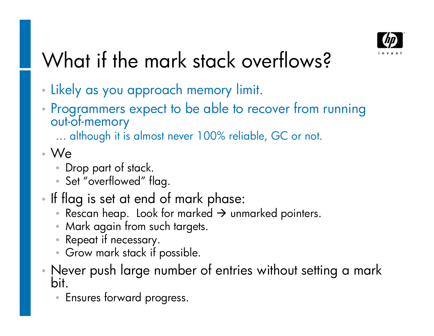

# What if the mark stack overflows?

- Likely as you approach memory limit.
- Programmers expect to be able to recover from running out-of-memory

... although it is almost never 100% reliable, GC or not.

- We
	- Drop part of stack.
	- Set "overflowed" flag.
- If flag is set at end of mark phase:
	- Rescan heap. Look for marked  $\rightarrow$  unmarked pointers.
	- Mark again from such targets.
	- Repeat if necessary.
	- Grow mark stack if possible.
- Never push large number of entries without setting a mark bit.
	- Ensures forward progress.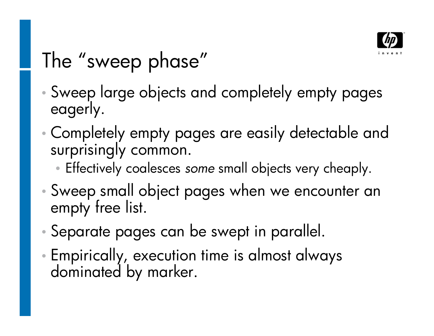

# The "sweep phase"

- Sweep large objects and completely empty pages eagerly.
- Completely empty pages are easily detectable and surprisingly common.
	- Effectively coalesces *some* small objects very cheaply.
- Sweep small object pages when we encounter an empty free list.
- Separate pages can be swept in parallel.
- Empirically, execution time is almost always dominated by marker.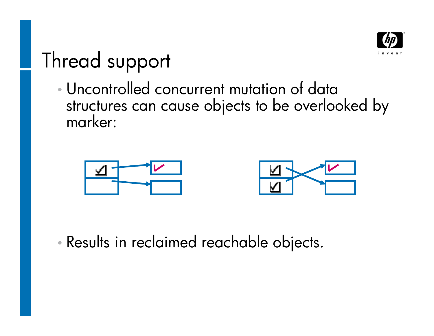

#### Thread support

 Uncontrolled concurrent mutation of data structures can cause objects to be overlooked by marker:





Results in reclaimed reachable objects.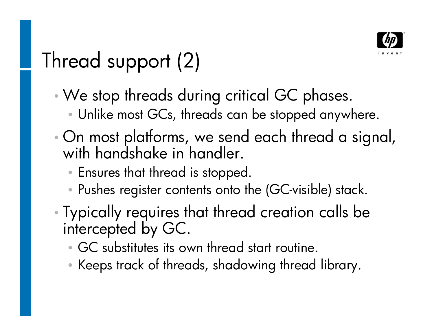

# Thread support (2)

- We stop threads during critical GC phases.
	- Unlike most GCs, threads can be stopped anywhere.
- On most platforms, we send each thread a signal, with handshake in handler.
	- Ensures that thread is stopped.
	- Pushes register contents onto the (GC-visible) stack.
- Typically requires that thread creation calls be intercepted by GC.
	- GC substitutes its own thread start routine.
	- Keeps track of threads, shadowing thread library.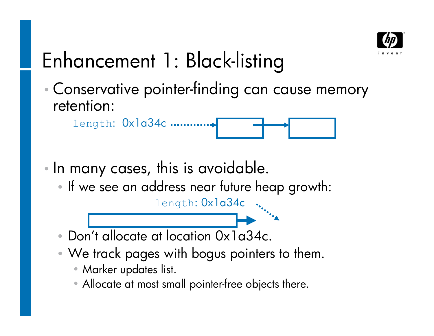

# Enhancement 1: Black-listing

 Conservative pointer-finding can cause memory retention:



- In many cases, this is avoidable.
	- If we see an address near future heap growth:

length: 0x1a34c



- We track pages with bogus pointers to them.
	- Marker updates list.
	- Allocate at most small pointer-free objects there.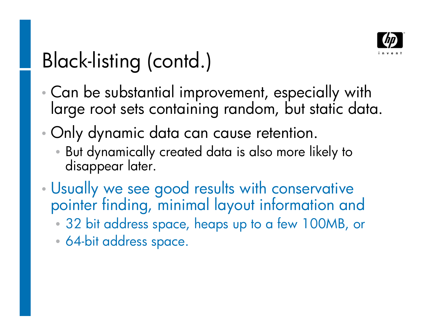

# Black-listing (contd.)

- Can be substantial improvement, especially with large root sets containing random, but static data.
- Only dynamic data can cause retention.
	- But dynamically created data is also more likely to disappear later.
- Usually we see good results with conservative pointer finding, minimal layout information and
	- 32 bit address space, heaps up to a few 100MB, or
	- 64-bit address space.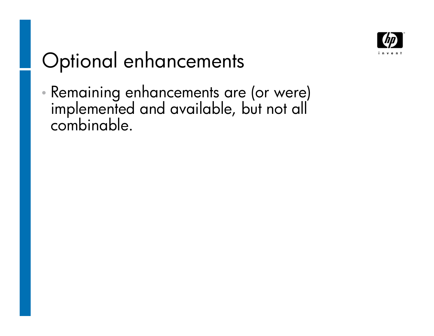

# Optional enhancements

 Remaining enhancements are (or were) implemented and available, but not all combinable.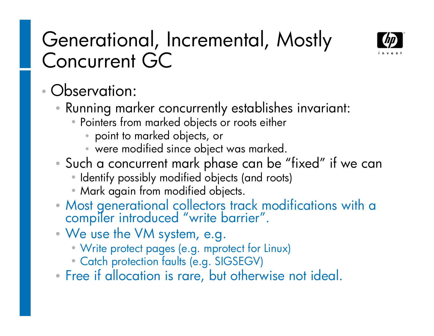#### Generational, Incremental, Mostly Concurrent GC



#### Observation:

- Running marker concurrently establishes invariant:
	- Pointers from marked objects or roots either
		- point to marked objects, or
		- were modified since object was marked.
- Such a concurrent mark phase can be "fixed" if we can
	- Identify possibly modified objects (and roots)
	- Mark again from modified objects.
- Most generational collectors track modifications with a compiler introduced "write barrier".
- We use the VM system, e.g.
	- Write protect pages (e.g. mprotect for Linux)
	- Catch protection faults (e.g. SIGSEGV)
- Free if allocation is rare, but otherwise not ideal.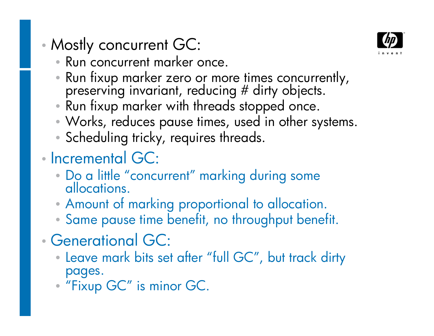- Mostly concurrent GC:
	- Run concurrent marker once.
	- Run fixup marker zero or more times concurrently, preserving invariant, reducing # dirty objects.
	- Run fixup marker with threads stopped once.
	- •Works, reduces pause times, used in other systems.
	- Scheduling tricky, requires threads.
- Incremental GC:
	- Do a little "concurrent" marking during some allocations.
	- •Amount of marking proportional to allocation.
	- Same pause time benefit, no throughput benefit.
- Generational GC:
	- Leave mark bits set after "full GC", but track dirty pages.
	- "Fixup GC" is minor GC.

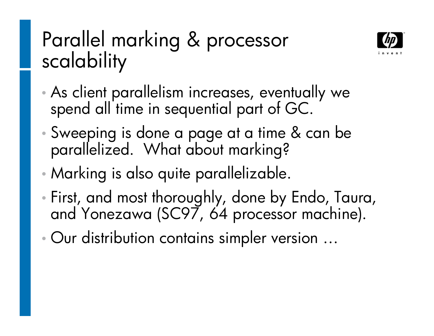# Parallel marking & processor scalability



- As client parallelism increases, eventually we spend all time in sequential part of GC.
- Sweeping is done a page at a time & can be parallelized. What about marking?
- Marking is also quite parallelizable.
- First, and most thoroughly, done by Endo, Taura, and Yonezawa (SC97, 64 processor machine).
- Our distribution contains simpler version ...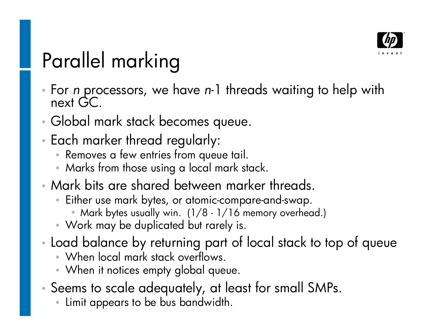

# Parallel marking

- For *n* processors, we have *n*-1 threads waiting to help with next GC.
- Global mark stack becomes queue.
- Each marker thread regularly:
	- Removes a few entries from queue tail.
	- Marks from those using a local mark stack.
- Mark bits are shared between marker threads.
	- Either use mark bytes, or atomic-compare-and-swap.
		- Mark bytes usually win. (1/8 1/16 memory overhead.)
	- Work may be duplicated but rarely is.
- Load balance by returning part of local stack to top of queue
	- When local mark stack overflows.
	- When it notices empty global queue.
- Seems to scale adequately, at least for small SMPs.
	- Limit appears to be bus bandwidth.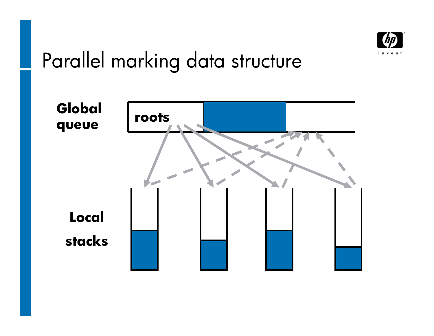

## Parallel marking data structure

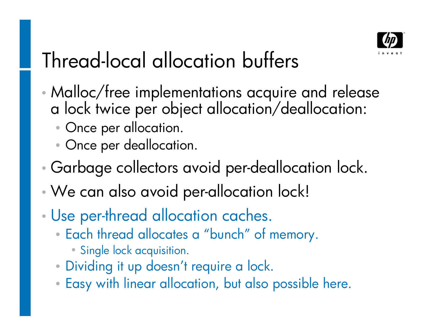

# Thread-local allocation buffers

- Malloc/free implementations acquire and release a lock twice per object allocation/deallocation:
	- Once per allocation.
	- Once per deallocation.
- Garbage collectors avoid per-deallocation lock.
- We can also avoid per-allocation lock!
- Use per-thread allocation caches.
	- Each thread allocates a "bunch" of memory.
		- Single lock acquisition.
	- Dividing it up doesn't require a lock.
	- Easy with linear allocation, but also possible here.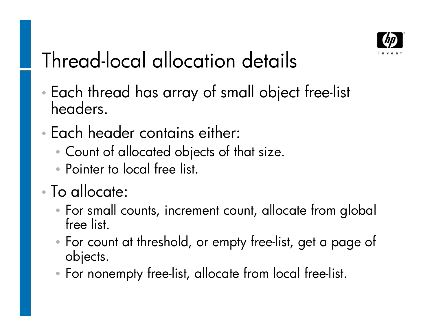

# Thread-local allocation details

- Each thread has array of small object free-list headers.
- Each header contains either:
	- Count of allocated objects of that size.
	- Pointer to local free list.

#### To allocate:

- For small counts, increment count, allocate from global free list.
- For count at threshold, or empty free-list, get a page of objects.
- For nonempty free-list, allocate from local free-list.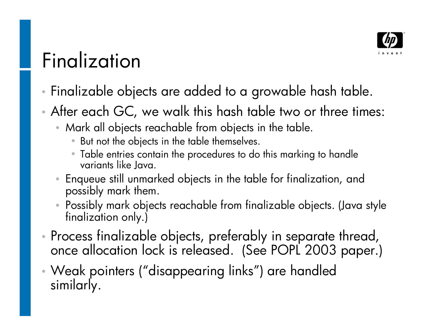

#### Finalization

- Finalizable objects are added to a growable hash table.
- After each GC, we walk this hash table two or three times:
	- Mark all objects reachable from objects in the table.
		- But not the objects in the table themselves.
		- Table entries contain the procedures to do this marking to handle variants like Java.
	- Enqueue still unmarked objects in the table for finalization, and possibly mark them.
	- Possibly mark objects reachable from finalizable objects. (Java style finalization only.)
- Process finalizable objects, preferably in separate thread, once allocation lock is released. (See POPL 2003 paper.)
- Weak pointers ("disappearing links") are handled similarly.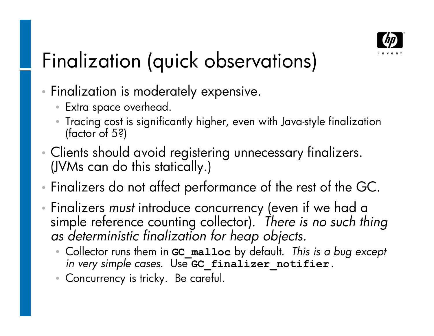

# Finalization (quick observations)

- **Finalization is moderately expensive.** 
	- Extra space overhead.
	- Tracing cost is significantly higher, even with Java-style finalization (factor of 5?)
- Clients should avoid registering unnecessary finalizers. (JVMs can do this statically.)
- Finalizers do not affect performance of the rest of the GC.
- Finalizers *must* introduce concurrency (even if we had a simple reference counting collector). *There is no such thing as deterministic finalization for heap objects.*
	- Collector runs them in **GC\_malloc** by default. *This is a bug except in very simple cases*. Use **GC\_finalizer\_notifier.**
	- Concurrency is tricky. Be careful.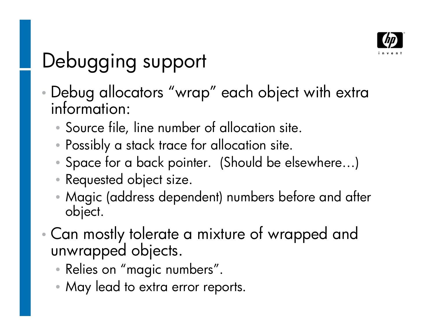

# Debugging support

- Debug allocators "wrap" each object with extra information:
	- Source file, line number of allocation site.
	- Possibly a stack trace for allocation site.
	- Space for a back pointer. (Should be elsewhere...)
	- Requested object size.
	- Magic (address dependent) numbers before and after object.
- Can mostly tolerate a mixture of wrapped and unwrapped objects.
	- Relies on "magic numbers".
	- May lead to extra error reports.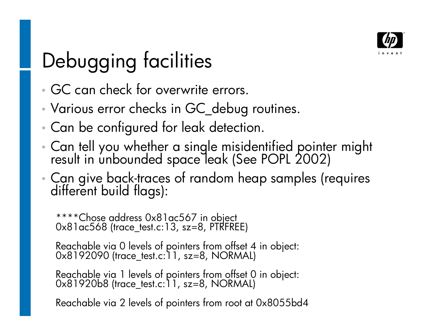

# Debugging facilities

- GC can check for overwrite errors.
- Various error checks in GC\_debug routines.
- Can be configured for leak detection.
- Can tell you whether a single misidentified pointer might result in unbounded space leak (See POPL 2002)
- Can give back-traces of random heap samples (requires different build flags):

\*\*\*\*Chose address 0x81ac567 in object 0x81ac568 (trace\_test.c:13, sz=8, PTRFREE)

Reachable via 0 levels of pointers from offset 4 in object: 0x8192090 (trace\_test.c:11, sz=8, NORMAL)

Reachable via 1 levels of pointers from offset 0 in object: 0x81920b8 (trace\_test.c:11, sz=8, NORMAL)

Reachable via 2 levels of pointers from root at 0x8055bd4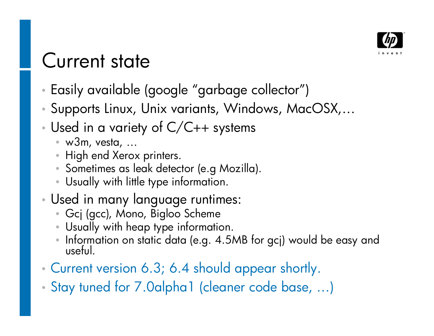

#### Current state

- Easily available (google "garbage collector")
- Supports Linux, Unix variants, Windows, MacOSX,
- Used in a variety of C/C++ systems
	- w3m, vesta, ...
	- High end Xerox printers.
	- Sometimes as leak detector (e.g Mozilla).
	- Usually with little type information.
- Used in many language runtimes:
	- Gcj (gcc), Mono, Bigloo Scheme
	- Usually with heap type information.
	- Information on static data (e.g. 4.5MB for gcj) would be easy and useful.
- Current version 6.3; 6.4 should appear shortly.
- Stay tuned for 7.0alpha1 (cleaner code base, ...)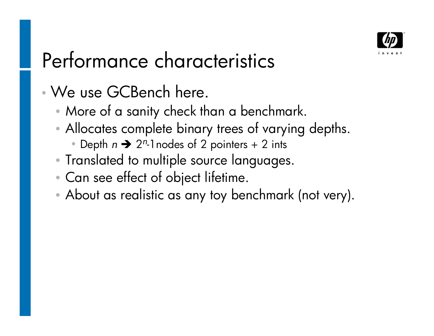

# Performance characteristics

- We use GCBench here.
	- More of a sanity check than a benchmark.
	- Allocates complete binary trees of varying depths.
		- Depth  $n \rightarrow 2^n$ -1 nodes of 2 pointers + 2 ints
	- Translated to multiple source languages.
	- Can see effect of object lifetime.
	- •About as realistic as any toy benchmark (not very).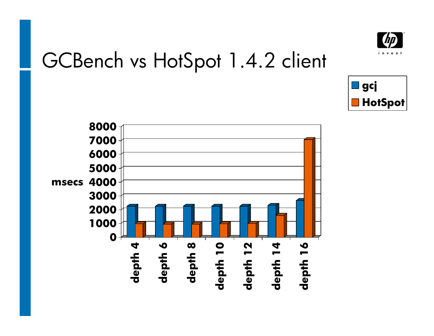

#### GCBench vs HotSpot 1.4.2 client



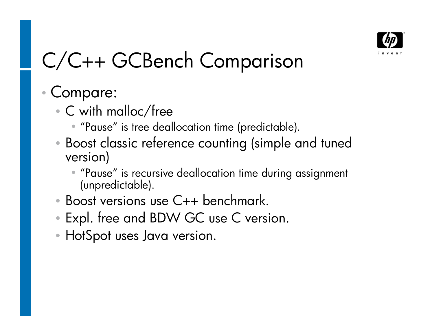

# C/C++ GCBench Comparison

#### Compare:

- C with malloc/free
	- "Pause" is tree deallocation time (predictable).
- Boost classic reference counting (simple and tuned version)
	- "Pause" is recursive deallocation time during assignment (unpredictable).
- Boost versions use C++ benchmark.
- Expl. free and BDW GC use C version.
- HotSpot uses Java version.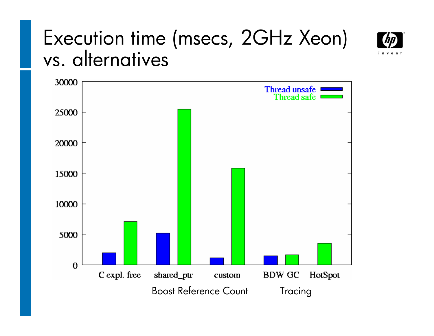#### Execution time (msecs, 2GHz Xeon) vs. alternatives



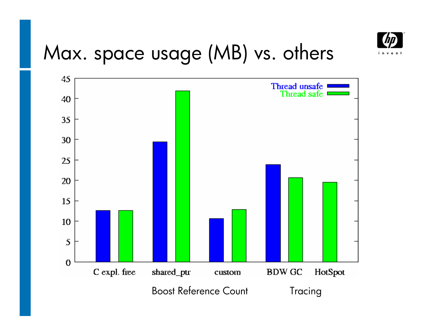

# Max. space usage (MB) vs. others

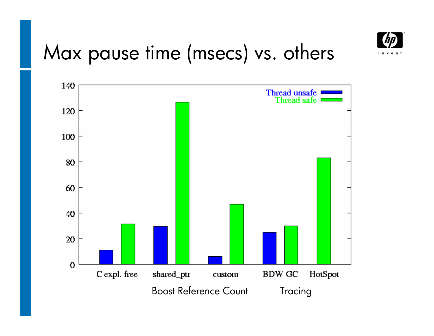

#### Max pause time (msecs) vs. others

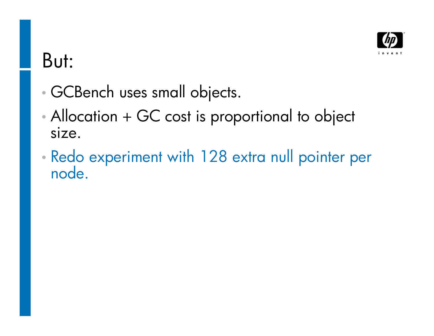

#### But:

- GCBench uses small objects.
- Allocation + GC cost is proportional to object size.
- Redo experiment with 128 extra null pointer per node.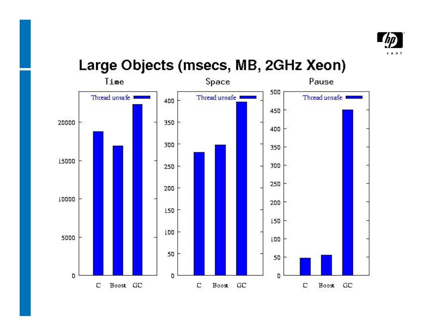

#### Large Objects (msecs, MB, 2GHz Xeon)

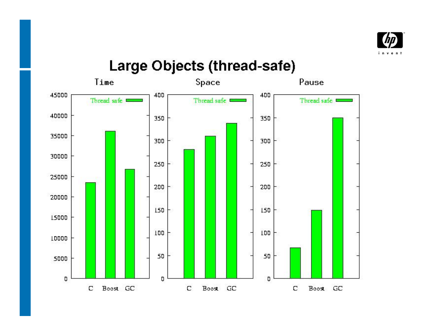

#### Large Objects (thread-safe)

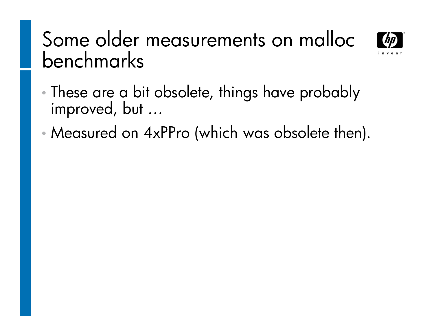#### Some older measurements on malloc benchmarks



- These are a bit obsolete, things have probably improved, but ...
- Measured on 4xPPro (which was obsolete then).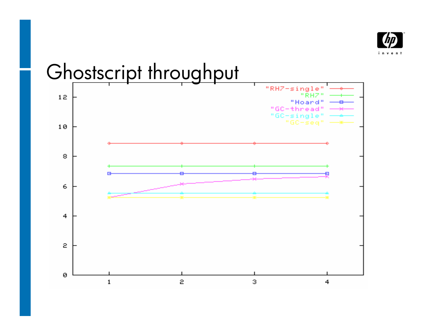

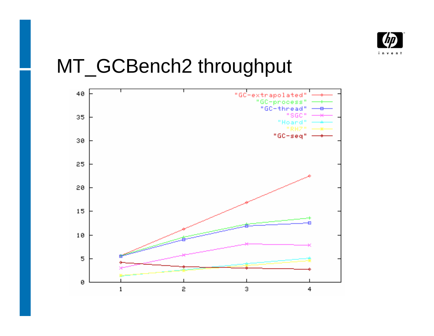

#### MT\_GCBench2 throughput

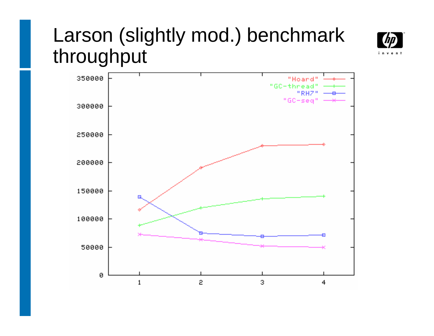#### Larson (slightly mod.) benchmark throughput



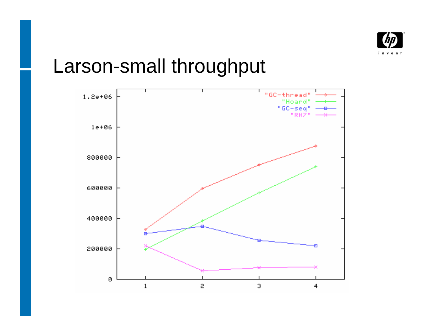

#### Larson-small throughput

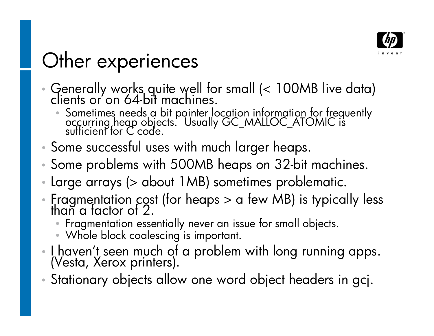

# Other experiences

- Generally works quite well for small (< 100MB live data) clients or'on 64-bit machines.
	- $\bullet$  Sometimes needs a bit pointer location information for frequently occurring heap objects. Usually GC\_MALLOC\_ATOMIC is sufficient for C code.
- Some successful uses with much larger heaps.
- Some problems with 500MB heaps on 32-bit machines.
- Large arrays (> about 1MB) sometimes problematic.
- Fragmentation cost (for heaps > a few MB) is typically less than a factor of 2.
	- Fragmentation essentially never an issue for small objects.
	- Whole block coalescing is important.
- $\cdot$  I haven't seen much of a problem with long running apps. (Vesta, Xerox printers).
- Stationary objects allow one word object headers in gcj.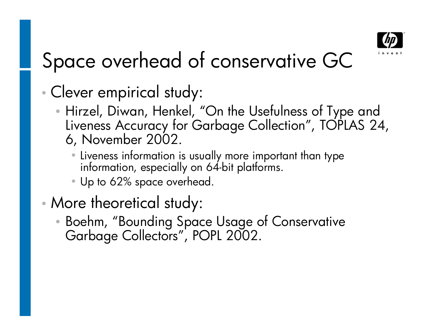

# Space overhead of conservative GC

- Clever empirical study:
	- Hirzel, Diwan, Henkel, "On the Usefulness of Type and Liveness Accuracy for Garbage Collection", TOPLAS 24, 6, November 2002.
		- Liveness information is usually more important than type information, especially on 64-bit platforms.
		- Up to 62% space overhead.
- More theoretical study:
	- Boehm, "Bounding Space Usage of Conservative Garbage Collectors", POPL 2002.